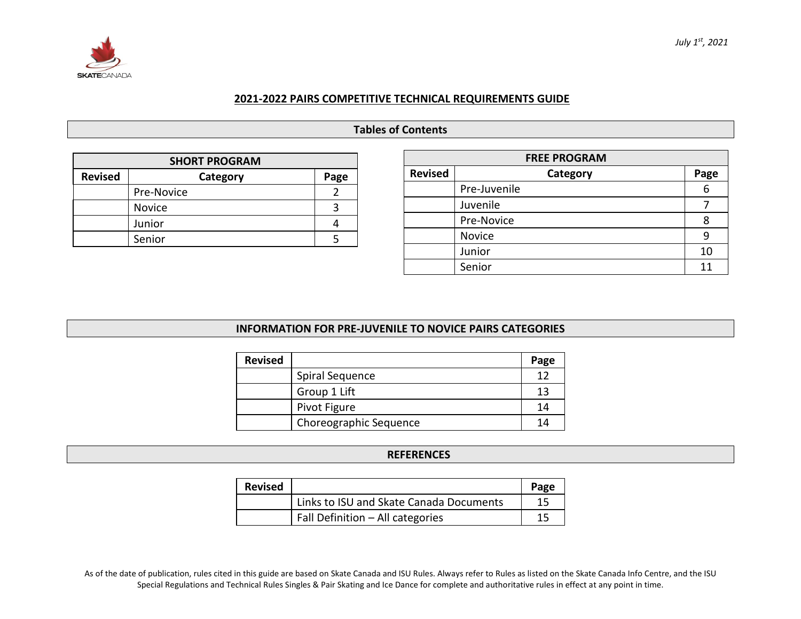

#### **2021-2022 PAIRS COMPETITIVE TECHNICAL REQUIREMENTS GUIDE**

# **Tables of Contents**

| <b>SHORT PROGRAM</b>               |               |  |  |  |  |  |  |
|------------------------------------|---------------|--|--|--|--|--|--|
| <b>Revised</b><br>Category<br>Page |               |  |  |  |  |  |  |
|                                    | Pre-Novice    |  |  |  |  |  |  |
|                                    | <b>Novice</b> |  |  |  |  |  |  |
|                                    | Junior        |  |  |  |  |  |  |
|                                    | Senior        |  |  |  |  |  |  |

| <b>FREE PROGRAM</b> |                  |    |  |  |  |  |  |
|---------------------|------------------|----|--|--|--|--|--|
| <b>Revised</b>      | Category<br>Page |    |  |  |  |  |  |
|                     | Pre-Juvenile     | 6  |  |  |  |  |  |
|                     | Juvenile         |    |  |  |  |  |  |
|                     | Pre-Novice       |    |  |  |  |  |  |
|                     | Novice           |    |  |  |  |  |  |
|                     | Junior           | 10 |  |  |  |  |  |
|                     | Senior           | 11 |  |  |  |  |  |

#### **INFORMATION FOR PRE-JUVENILE TO NOVICE PAIRS CATEGORIES**

| <b>Revised</b> |                        | Page |
|----------------|------------------------|------|
|                | Spiral Sequence        | 12   |
|                | Group 1 Lift           | 13   |
|                | Pivot Figure           | 14   |
|                | Choreographic Sequence | 14   |

#### **REFERENCES**

| <b>Revised</b> |                                         | Page |
|----------------|-----------------------------------------|------|
|                | Links to ISU and Skate Canada Documents | 15   |
|                | Fall Definition - All categories        | 15   |

As of the date of publication, rules cited in this guide are based on Skate Canada and ISU Rules. Always refer to Rules as listed on the Skate Canada Info Centre, and the ISU Special Regulations and Technical Rules Singles & Pair Skating and Ice Dance for complete and authoritative rules in effect at any point in time.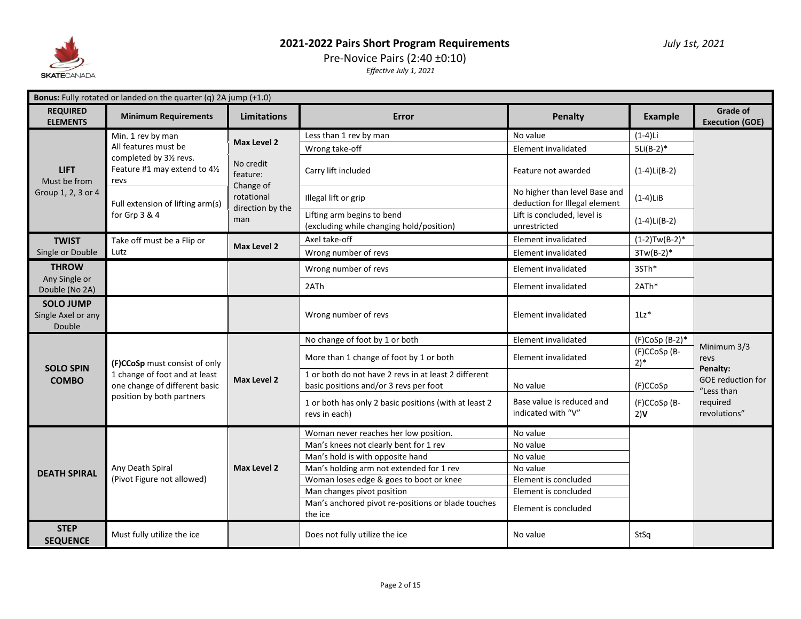

# Pre-Novice Pairs (2:40 ±0:10)

| <b>Bonus:</b> Fully rotated or landed on the quarter (q) 2A jump $(+1.0)$ |                                                                                                                              |                                             |                                                                                                |                                                                |                                   |                                                    |  |
|---------------------------------------------------------------------------|------------------------------------------------------------------------------------------------------------------------------|---------------------------------------------|------------------------------------------------------------------------------------------------|----------------------------------------------------------------|-----------------------------------|----------------------------------------------------|--|
| <b>REQUIRED</b><br><b>ELEMENTS</b>                                        | <b>Minimum Requirements</b>                                                                                                  | <b>Limitations</b>                          | Error                                                                                          | <b>Penalty</b>                                                 | <b>Example</b>                    | Grade of<br><b>Execution (GOE)</b>                 |  |
|                                                                           | Min. 1 rev by man                                                                                                            | Max Level 2                                 | Less than 1 rev by man                                                                         | No value                                                       | $(1-4)Li$                         |                                                    |  |
|                                                                           | All features must be                                                                                                         |                                             | Wrong take-off                                                                                 | Element invalidated                                            | $5Li(B-2)*$                       |                                                    |  |
| <b>LIFT</b><br>Must be from                                               | completed by 31/2 revs.<br>Feature #1 may extend to 41/2<br>revs                                                             | No credit<br>feature:                       | Carry lift included                                                                            | Feature not awarded                                            | $(1-4)Li(B-2)$                    |                                                    |  |
| Group 1, 2, 3 or 4                                                        | Full extension of lifting arm(s)                                                                                             | Change of<br>rotational<br>direction by the | Illegal lift or grip                                                                           | No higher than level Base and<br>deduction for Illegal element | $(1-4)$ LiB                       |                                                    |  |
|                                                                           | for Grp 3 & 4                                                                                                                | man                                         | Lifting arm begins to bend<br>(excluding while changing hold/position)                         | Lift is concluded, level is<br>unrestricted                    | $(1-4)Li(B-2)$                    |                                                    |  |
| <b>TWIST</b>                                                              | Take off must be a Flip or                                                                                                   | <b>Max Level 2</b>                          | Axel take-off                                                                                  | Element invalidated                                            | $(1-2)Tw(B-2)*$                   |                                                    |  |
| Single or Double                                                          | Lutz                                                                                                                         |                                             | Wrong number of revs                                                                           | Element invalidated                                            | $3Tw(B-2)*$                       |                                                    |  |
| <b>THROW</b>                                                              |                                                                                                                              |                                             | Wrong number of revs                                                                           | Element invalidated                                            | 3STh*                             |                                                    |  |
| Any Single or<br>Double (No 2A)                                           |                                                                                                                              |                                             | 2ATh                                                                                           | Element invalidated                                            | 2ATh*                             |                                                    |  |
| <b>SOLO JUMP</b><br>Single Axel or any<br>Double                          |                                                                                                                              |                                             | Wrong number of revs                                                                           | Element invalidated                                            | $1\mathsf{L}z^*$                  |                                                    |  |
|                                                                           |                                                                                                                              |                                             | No change of foot by 1 or both                                                                 | Element invalidated                                            | $(F)$ CoSp $(B-2)*$               | Minimum 3/3                                        |  |
| <b>SOLO SPIN</b>                                                          | (F)CCoSp must consist of only<br>1 change of foot and at least<br>one change of different basic<br>position by both partners | Max Level 2                                 | More than 1 change of foot by 1 or both                                                        | Element invalidated                                            | (F)CCoSp (B-<br>$2)$ <sup>*</sup> | revs                                               |  |
| <b>COMBO</b>                                                              |                                                                                                                              |                                             | 1 or both do not have 2 revs in at least 2 different<br>basic positions and/or 3 revs per foot | No value                                                       | (F)CCoSp                          | Penalty:<br><b>GOE reduction for</b><br>"Less than |  |
|                                                                           |                                                                                                                              |                                             | 1 or both has only 2 basic positions (with at least 2<br>revs in each)                         | Base value is reduced and<br>indicated with "V"                | (F)CCoSp (B-<br>2)V               | required<br>revolutions"                           |  |
|                                                                           |                                                                                                                              |                                             | Woman never reaches her low position.                                                          | No value                                                       |                                   |                                                    |  |
|                                                                           |                                                                                                                              |                                             | Man's knees not clearly bent for 1 rev                                                         | No value                                                       |                                   |                                                    |  |
|                                                                           |                                                                                                                              |                                             | Man's hold is with opposite hand                                                               | No value                                                       |                                   |                                                    |  |
| <b>DEATH SPIRAL</b>                                                       | Any Death Spiral                                                                                                             | <b>Max Level 2</b>                          | Man's holding arm not extended for 1 rev                                                       | No value                                                       |                                   |                                                    |  |
|                                                                           | (Pivot Figure not allowed)                                                                                                   |                                             | Woman loses edge & goes to boot or knee                                                        | Element is concluded                                           |                                   |                                                    |  |
|                                                                           |                                                                                                                              |                                             | Man changes pivot position<br>Man's anchored pivot re-positions or blade touches<br>the ice    | Element is concluded<br>Element is concluded                   |                                   |                                                    |  |
| <b>STEP</b><br><b>SEQUENCE</b>                                            | Must fully utilize the ice                                                                                                   |                                             | Does not fully utilize the ice                                                                 | No value                                                       | StSa                              |                                                    |  |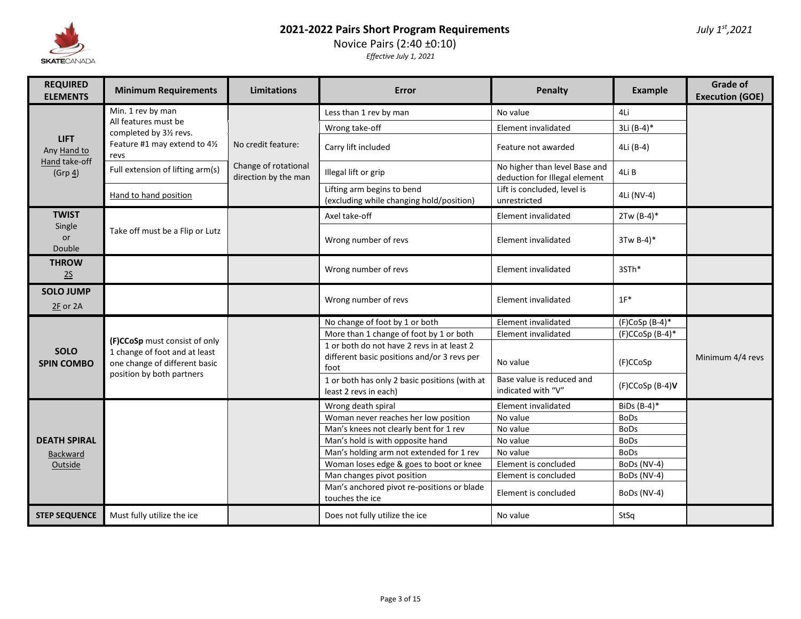

Novice Pairs (2:40 ±0:10)

| <b>REQUIRED</b><br><b>ELEMENTS</b> | <b>Minimum Requirements</b>                                    | Limitations                                  | Error                                                                                             | Penalty                                                        | Example              | <b>Grade of</b><br><b>Execution (GOE)</b> |
|------------------------------------|----------------------------------------------------------------|----------------------------------------------|---------------------------------------------------------------------------------------------------|----------------------------------------------------------------|----------------------|-------------------------------------------|
|                                    | Min. 1 rev by man                                              |                                              | Less than 1 rev by man                                                                            | No value                                                       | 4Li                  |                                           |
|                                    | All features must be<br>completed by 31/2 revs.                |                                              | Wrong take-off                                                                                    | Element invalidated                                            | 3Li (B-4)*           |                                           |
| <b>LIFT</b><br>Any Hand to         | Feature #1 may extend to 41/2<br>revs                          | No credit feature:                           | Carry lift included                                                                               | Feature not awarded                                            | 4Li (B-4)            |                                           |
| Hand take-off<br>$(Grp_4)$         | Full extension of lifting arm(s)                               | Change of rotational<br>direction by the man | Illegal lift or grip                                                                              | No higher than level Base and<br>deduction for Illegal element | 4Li B                |                                           |
|                                    | Hand to hand position                                          |                                              | Lifting arm begins to bend<br>(excluding while changing hold/position)                            | Lift is concluded, level is<br>unrestricted                    | 4Li (NV-4)           |                                           |
| <b>TWIST</b>                       |                                                                |                                              | Axel take-off                                                                                     | Element invalidated                                            | $2Tw (B-4)*$         |                                           |
| Single<br>or<br>Double             | Take off must be a Flip or Lutz                                |                                              | Wrong number of revs                                                                              | Element invalidated                                            | 3Tw B-4)*            |                                           |
| <b>THROW</b><br>25                 |                                                                |                                              | Wrong number of revs                                                                              | Element invalidated                                            | 3STh*                |                                           |
| <b>SOLO JUMP</b><br>$2F$ or 2A     |                                                                |                                              | Wrong number of revs                                                                              | Element invalidated                                            | $1F^*$               |                                           |
|                                    |                                                                |                                              | No change of foot by 1 or both                                                                    | Element invalidated                                            | $(F)$ CoSp $(B-4)^*$ |                                           |
|                                    | (F)CCoSp must consist of only                                  |                                              | More than 1 change of foot by 1 or both                                                           | Element invalidated                                            | $(F)CCoSp(B-4)*$     |                                           |
| <b>SOLO</b><br><b>SPIN COMBO</b>   | 1 change of foot and at least<br>one change of different basic |                                              | 1 or both do not have 2 revs in at least 2<br>different basic positions and/or 3 revs per<br>foot | No value                                                       | (F)CCoSp             | Minimum 4/4 revs                          |
|                                    | position by both partners                                      |                                              | 1 or both has only 2 basic positions (with at<br>least 2 revs in each)                            | Base value is reduced and<br>indicated with "V"                | (F)CCoSp (B-4)V      |                                           |
|                                    |                                                                |                                              | Wrong death spiral                                                                                | Element invalidated                                            | BiDs (B-4)*          |                                           |
|                                    |                                                                |                                              | Woman never reaches her low position                                                              | No value                                                       | <b>BoDs</b>          |                                           |
|                                    |                                                                |                                              | Man's knees not clearly bent for 1 rev                                                            | No value                                                       | <b>BoDs</b>          |                                           |
| <b>DEATH SPIRAL</b>                |                                                                |                                              | Man's hold is with opposite hand                                                                  | No value                                                       | <b>BoDs</b>          |                                           |
| <b>Backward</b>                    |                                                                |                                              | Man's holding arm not extended for 1 rev                                                          | No value                                                       | <b>BoDs</b>          |                                           |
| Outside                            |                                                                |                                              | Woman loses edge & goes to boot or knee                                                           | Element is concluded                                           | BoDs (NV-4)          |                                           |
|                                    |                                                                |                                              | Man changes pivot position                                                                        | Element is concluded                                           | BoDs (NV-4)          |                                           |
|                                    |                                                                |                                              | Man's anchored pivot re-positions or blade<br>touches the ice                                     | Element is concluded                                           | BoDs (NV-4)          |                                           |
| <b>STEP SEQUENCE</b>               | Must fully utilize the ice                                     |                                              | Does not fully utilize the ice                                                                    | No value                                                       | StSq                 |                                           |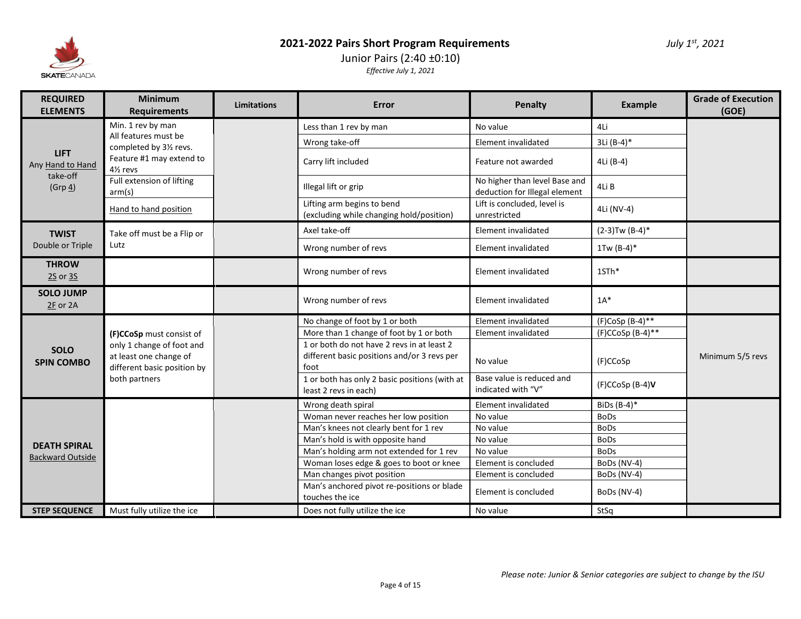

# Junior Pairs (2:40 ±0:10) *Effective July 1, 2021*

| <b>REQUIRED</b><br><b>ELEMENTS</b> | <b>Minimum</b><br><b>Requirements</b>                                              | <b>Limitations</b> | Error                                                                                             | Penalty                                                        | <b>Example</b>      | <b>Grade of Execution</b><br>(GOE) |
|------------------------------------|------------------------------------------------------------------------------------|--------------------|---------------------------------------------------------------------------------------------------|----------------------------------------------------------------|---------------------|------------------------------------|
|                                    | Min. 1 rev by man                                                                  |                    | Less than 1 rev by man                                                                            | No value                                                       | 4Li                 |                                    |
|                                    | All features must be                                                               |                    | Wrong take-off                                                                                    | Element invalidated                                            | 3Li (B-4)*          |                                    |
| <b>LIFT</b><br>Any Hand to Hand    | completed by 31/2 revs.<br>Feature #1 may extend to<br>41/ <sub>2</sub> revs       |                    | Carry lift included                                                                               | Feature not awarded                                            | 4Li (B-4)           |                                    |
| take-off<br>$(Grp_4)$              | Full extension of lifting<br>arm(s)                                                |                    | Illegal lift or grip                                                                              | No higher than level Base and<br>deduction for Illegal element | 4Li B               |                                    |
|                                    | Hand to hand position                                                              |                    | Lifting arm begins to bend<br>(excluding while changing hold/position)                            | Lift is concluded, level is<br>unrestricted                    | 4Li (NV-4)          |                                    |
| <b>TWIST</b>                       | Take off must be a Flip or                                                         |                    | Axel take-off                                                                                     | <b>Element invalidated</b>                                     | $(2-3)$ Tw $(B-4)*$ |                                    |
| Double or Triple                   | Lutz                                                                               |                    | Wrong number of revs                                                                              | Element invalidated                                            | 1Tw $(B-4)^*$       |                                    |
| <b>THROW</b><br>2S or 3S           |                                                                                    |                    | Wrong number of revs                                                                              | Element invalidated                                            | 1STh*               |                                    |
| <b>SOLO JUMP</b><br>$2F$ or 2A     |                                                                                    |                    | Wrong number of revs                                                                              | Element invalidated                                            | $1A^*$              |                                    |
|                                    |                                                                                    |                    | No change of foot by 1 or both                                                                    | Element invalidated                                            | $(F)CoSp(B-4)$ **   |                                    |
|                                    | (F)CCoSp must consist of                                                           |                    | More than 1 change of foot by 1 or both                                                           | Element invalidated                                            | $(F)CCoSp (B-4)$ ** |                                    |
| <b>SOLO</b><br><b>SPIN COMBO</b>   | only 1 change of foot and<br>at least one change of<br>different basic position by |                    | 1 or both do not have 2 revs in at least 2<br>different basic positions and/or 3 revs per<br>foot | No value                                                       | (F)CCoSp            | Minimum 5/5 revs                   |
|                                    | both partners                                                                      |                    | 1 or both has only 2 basic positions (with at<br>least 2 revs in each)                            | Base value is reduced and<br>indicated with "V"                | $(F)CCoSp(B-4)V$    |                                    |
|                                    |                                                                                    |                    | Wrong death spiral                                                                                | Element invalidated                                            | BiDs (B-4)*         |                                    |
|                                    |                                                                                    |                    | Woman never reaches her low position                                                              | No value                                                       | <b>BoDs</b>         |                                    |
|                                    |                                                                                    |                    | Man's knees not clearly bent for 1 rev                                                            | No value                                                       | <b>BoDs</b>         |                                    |
| <b>DEATH SPIRAL</b>                |                                                                                    |                    | Man's hold is with opposite hand                                                                  | No value                                                       | <b>BoDs</b>         |                                    |
| <b>Backward Outside</b>            |                                                                                    |                    | Man's holding arm not extended for 1 rev                                                          | No value                                                       | <b>BoDs</b>         |                                    |
|                                    |                                                                                    |                    | Woman loses edge & goes to boot or knee                                                           | Element is concluded                                           | BoDs (NV-4)         |                                    |
|                                    |                                                                                    |                    | Man changes pivot position                                                                        | Element is concluded                                           | BoDs (NV-4)         |                                    |
|                                    |                                                                                    |                    | Man's anchored pivot re-positions or blade<br>touches the ice                                     | Element is concluded                                           | BoDs (NV-4)         |                                    |
| <b>STEP SEQUENCE</b>               | Must fully utilize the ice                                                         |                    | Does not fully utilize the ice                                                                    | No value                                                       | StSq                |                                    |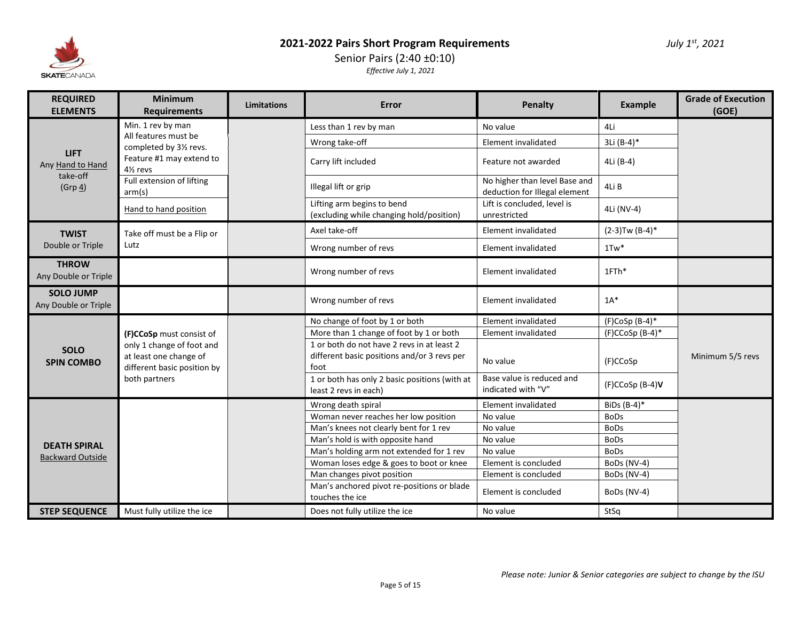

# Senior Pairs (2:40 ±0:10) *Effective July 1, 2021*

| <b>REQUIRED</b><br><b>ELEMENTS</b>       | <b>Minimum</b><br><b>Requirements</b>                                                                          | <b>Limitations</b> | Error                                                                                             | Penalty                                                        | <b>Example</b>       | <b>Grade of Execution</b><br>(GOE) |
|------------------------------------------|----------------------------------------------------------------------------------------------------------------|--------------------|---------------------------------------------------------------------------------------------------|----------------------------------------------------------------|----------------------|------------------------------------|
|                                          | Min. 1 rev by man                                                                                              |                    | Less than 1 rev by man                                                                            | No value                                                       | 4Li                  |                                    |
|                                          | All features must be                                                                                           |                    | Wrong take-off                                                                                    | Element invalidated                                            | 3Li (B-4)*           |                                    |
| <b>LIFT</b><br>Any Hand to Hand          | completed by 31/2 revs.<br>Feature #1 may extend to<br>41/ <sub>2</sub> revs                                   |                    | Carry lift included                                                                               | Feature not awarded                                            | 4Li (B-4)            |                                    |
| take-off<br>$(Grp_4)$                    | Full extension of lifting<br>arm(s)                                                                            |                    | Illegal lift or grip                                                                              | No higher than level Base and<br>deduction for Illegal element | 4Li B                |                                    |
|                                          | Hand to hand position                                                                                          |                    | Lifting arm begins to bend<br>(excluding while changing hold/position)                            | Lift is concluded, level is<br>unrestricted                    | 4Li (NV-4)           |                                    |
| <b>TWIST</b>                             | Take off must be a Flip or                                                                                     |                    | Axel take-off                                                                                     | Element invalidated                                            | $(2-3)Tw (B-4)*$     |                                    |
| Double or Triple                         | Lutz                                                                                                           |                    | Wrong number of revs                                                                              | Element invalidated                                            | $1Tw^*$              |                                    |
| <b>THROW</b><br>Any Double or Triple     |                                                                                                                |                    | Wrong number of revs                                                                              | Element invalidated                                            | 1FTh*                |                                    |
| <b>SOLO JUMP</b><br>Any Double or Triple |                                                                                                                |                    | Wrong number of revs                                                                              | Element invalidated                                            | $1A^*$               |                                    |
|                                          |                                                                                                                |                    | No change of foot by 1 or both                                                                    | Element invalidated                                            | $(F)$ CoSp $(B-4)^*$ |                                    |
|                                          | (F)CCoSp must consist of<br>only 1 change of foot and<br>at least one change of<br>different basic position by |                    | More than 1 change of foot by 1 or both                                                           | Element invalidated                                            | $(F)CCoSp(B-4)^*$    |                                    |
| <b>SOLO</b><br><b>SPIN COMBO</b>         |                                                                                                                |                    | 1 or both do not have 2 revs in at least 2<br>different basic positions and/or 3 revs per<br>foot | No value                                                       | (F)CCoSp             | Minimum 5/5 revs                   |
|                                          | both partners                                                                                                  |                    | 1 or both has only 2 basic positions (with at<br>least 2 revs in each)                            | Base value is reduced and<br>indicated with "V"                | $(F)CCoSp(B-4)V$     |                                    |
|                                          |                                                                                                                |                    | Wrong death spiral                                                                                | Element invalidated                                            | BiDs $(B-4)^*$       |                                    |
|                                          |                                                                                                                |                    | Woman never reaches her low position                                                              | No value                                                       | <b>BoDs</b>          |                                    |
|                                          |                                                                                                                |                    | Man's knees not clearly bent for 1 rev                                                            | No value                                                       | <b>BoDs</b>          |                                    |
| <b>DEATH SPIRAL</b>                      |                                                                                                                |                    | Man's hold is with opposite hand                                                                  | No value                                                       | <b>BoDs</b>          |                                    |
| <b>Backward Outside</b>                  |                                                                                                                |                    | Man's holding arm not extended for 1 rev                                                          | No value                                                       | <b>BoDs</b>          |                                    |
|                                          |                                                                                                                |                    | Woman loses edge & goes to boot or knee                                                           | Element is concluded                                           | BoDs (NV-4)          |                                    |
|                                          |                                                                                                                |                    | Man changes pivot position                                                                        | Element is concluded                                           | BoDs (NV-4)          |                                    |
|                                          |                                                                                                                |                    | Man's anchored pivot re-positions or blade<br>touches the ice                                     | Element is concluded                                           | BoDs (NV-4)          |                                    |
| <b>STEP SEQUENCE</b>                     | Must fully utilize the ice                                                                                     |                    | Does not fully utilize the ice                                                                    | No value                                                       | StSq                 |                                    |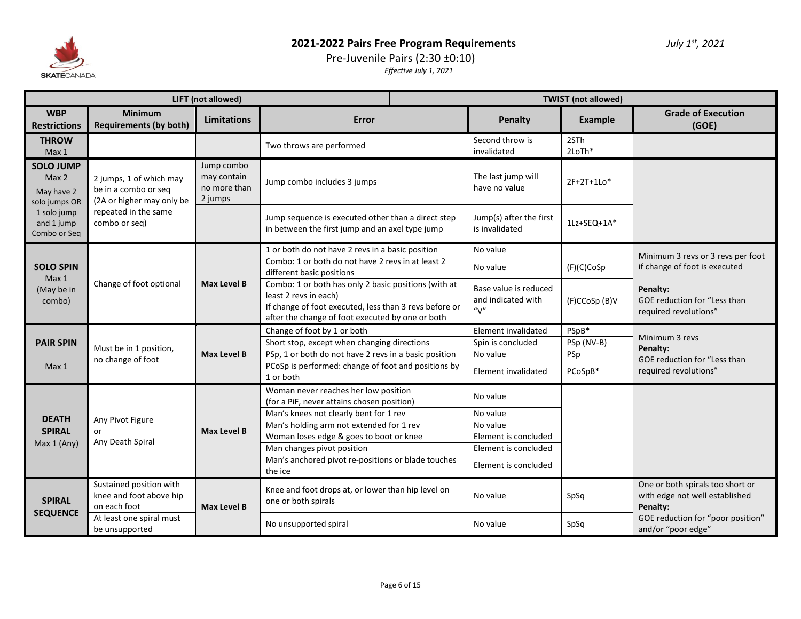

# Pre-Juvenile Pairs (2:30 ±0:10)

|                                                          |                                                                              | LIFT (not allowed)                                   |                                                                                                                                                                                             | <b>TWIST</b> (not allowed) |                                                      |                |                                                                                |
|----------------------------------------------------------|------------------------------------------------------------------------------|------------------------------------------------------|---------------------------------------------------------------------------------------------------------------------------------------------------------------------------------------------|----------------------------|------------------------------------------------------|----------------|--------------------------------------------------------------------------------|
| <b>WBP</b><br><b>Restrictions</b>                        | <b>Minimum</b><br><b>Requirements (by both)</b>                              | <b>Limitations</b>                                   | Error                                                                                                                                                                                       |                            | Penalty                                              | <b>Example</b> | <b>Grade of Execution</b><br>(GOE)                                             |
| <b>THROW</b><br>Max <sub>1</sub>                         |                                                                              |                                                      | Two throws are performed                                                                                                                                                                    |                            | Second throw is<br>invalidated                       | 2STh<br>2LoTh* |                                                                                |
| <b>SOLO JUMP</b><br>Max 2<br>May have 2<br>solo jumps OR | 2 jumps, 1 of which may<br>be in a combo or seq<br>(2A or higher may only be | Jump combo<br>may contain<br>no more than<br>2 jumps | Jump combo includes 3 jumps                                                                                                                                                                 |                            | The last jump will<br>have no value                  | $2F+2T+1Lo*$   |                                                                                |
| 1 solo jump<br>and 1 jump<br>Combo or Seq                | repeated in the same<br>combo or seq)                                        |                                                      | Jump sequence is executed other than a direct step<br>in between the first jump and an axel type jump                                                                                       |                            | Jump(s) after the first<br>is invalidated            | 1Lz+SEQ+1A*    |                                                                                |
|                                                          |                                                                              |                                                      | 1 or both do not have 2 revs in a basic position                                                                                                                                            |                            | No value                                             |                | Minimum 3 revs or 3 revs per foot                                              |
| <b>SOLO SPIN</b>                                         |                                                                              |                                                      | Combo: 1 or both do not have 2 revs in at least 2<br>different basic positions                                                                                                              |                            | No value                                             | (F)(C)CoSp     | if change of foot is executed                                                  |
| Max 1<br>(May be in<br>combo)                            | Change of foot optional                                                      | <b>Max Level B</b>                                   | Combo: 1 or both has only 2 basic positions (with at<br>least 2 revs in each)<br>If change of foot executed, less than 3 revs before or<br>after the change of foot executed by one or both |                            | Base value is reduced<br>and indicated with<br>''V'' | (F)CCoSp (B)V  | Penalty:<br>GOE reduction for "Less than<br>required revolutions"              |
|                                                          |                                                                              |                                                      | Change of foot by 1 or both                                                                                                                                                                 |                            | Element invalidated                                  | PSpB*          |                                                                                |
| <b>PAIR SPIN</b>                                         |                                                                              |                                                      | Short stop, except when changing directions<br>PSp, 1 or both do not have 2 revs in a basic position                                                                                        |                            | Spin is concluded                                    | PSp (NV-B)     | Minimum 3 revs                                                                 |
|                                                          | Must be in 1 position,<br>no change of foot                                  | Max Level B                                          |                                                                                                                                                                                             |                            | No value                                             | PSp            | Penalty:<br>GOE reduction for "Less than                                       |
| Max 1                                                    |                                                                              |                                                      | PCoSp is performed: change of foot and positions by<br>1 or both                                                                                                                            |                            | Element invalidated                                  | PCoSpB*        | required revolutions"                                                          |
|                                                          |                                                                              |                                                      | Woman never reaches her low position<br>(for a PiF, never attains chosen position)                                                                                                          |                            | No value                                             |                |                                                                                |
| <b>DEATH</b>                                             | Any Pivot Figure                                                             |                                                      | Man's knees not clearly bent for 1 rev                                                                                                                                                      |                            | No value                                             |                |                                                                                |
| <b>SPIRAL</b>                                            | or                                                                           | Max Level B                                          | Man's holding arm not extended for 1 rev                                                                                                                                                    |                            | No value                                             |                |                                                                                |
| Max 1 (Any)                                              | Any Death Spiral                                                             |                                                      | Woman loses edge & goes to boot or knee                                                                                                                                                     |                            | Element is concluded                                 |                |                                                                                |
|                                                          |                                                                              |                                                      | Man changes pivot position                                                                                                                                                                  |                            | Element is concluded                                 |                |                                                                                |
|                                                          |                                                                              |                                                      | Man's anchored pivot re-positions or blade touches<br>the ice                                                                                                                               |                            | Element is concluded                                 |                |                                                                                |
| <b>SPIRAL</b><br><b>SEQUENCE</b>                         | Sustained position with<br>knee and foot above hip<br>on each foot           | Max Level B                                          | Knee and foot drops at, or lower than hip level on<br>one or both spirals                                                                                                                   |                            | No value                                             | SpSq           | One or both spirals too short or<br>with edge not well established<br>Penalty: |
|                                                          | At least one spiral must<br>be unsupported                                   |                                                      | No unsupported spiral                                                                                                                                                                       |                            | No value                                             | SpSq           | GOE reduction for "poor position"<br>and/or "poor edge"                        |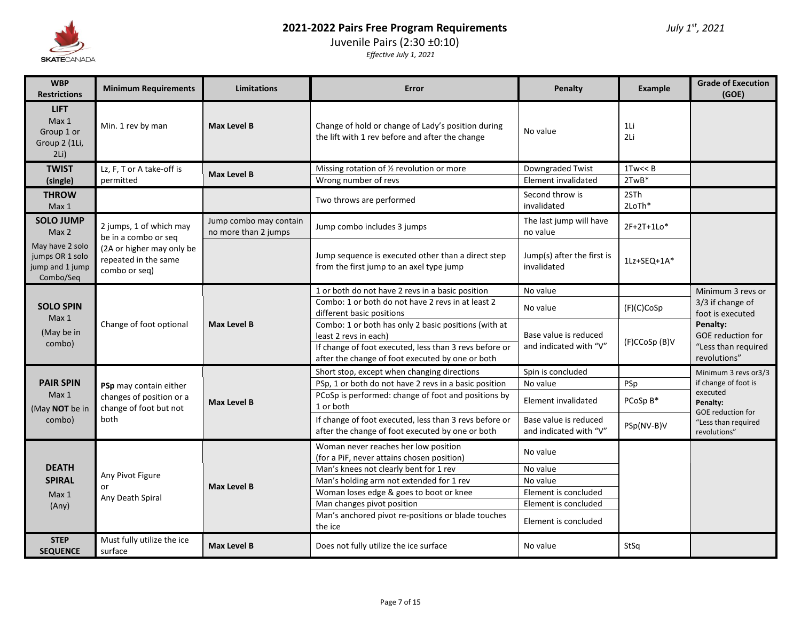

# Juvenile Pairs (2:30 ±0:10)

| <b>WBP</b><br><b>Restrictions</b>                                  | <b>Minimum Requirements</b>                                        | Limitations                                    | Error                                                                                                      | Penalty                                         | Example                | <b>Grade of Execution</b><br>(GOE)                                                                           |
|--------------------------------------------------------------------|--------------------------------------------------------------------|------------------------------------------------|------------------------------------------------------------------------------------------------------------|-------------------------------------------------|------------------------|--------------------------------------------------------------------------------------------------------------|
| <b>LIFT</b><br>Max 1<br>Group 1 or<br>Group 2 (1Li,<br>$2Li$ )     | Min. 1 rev by man                                                  | <b>Max Level B</b>                             | Change of hold or change of Lady's position during<br>the lift with 1 rev before and after the change      | No value                                        | 1Li<br>2Li             |                                                                                                              |
| <b>TWIST</b><br>(single)                                           | Lz, F, T or A take-off is<br>permitted                             | <b>Max Level B</b>                             | Missing rotation of 1/2 revolution or more<br>Wrong number of revs                                         | Downgraded Twist<br>Element invalidated         | $1$ Tw $<<$ B<br>2TwB* |                                                                                                              |
| <b>THROW</b><br>Max 1                                              |                                                                    |                                                | Two throws are performed                                                                                   | Second throw is<br>invalidated                  | 2STh<br>2LoTh*         |                                                                                                              |
| <b>SOLO JUMP</b><br>Max <sub>2</sub>                               | 2 jumps, 1 of which may<br>be in a combo or seq                    | Jump combo may contain<br>no more than 2 jumps | Jump combo includes 3 jumps                                                                                | The last jump will have<br>no value             | $2F+2T+1Lo*$           |                                                                                                              |
| May have 2 solo<br>jumps OR 1 solo<br>jump and 1 jump<br>Combo/Seq | (2A or higher may only be<br>repeated in the same<br>combo or seq) |                                                | Jump sequence is executed other than a direct step<br>from the first jump to an axel type jump             | Jump(s) after the first is<br>invalidated       | 1Lz+SEQ+1A*            |                                                                                                              |
|                                                                    |                                                                    |                                                | 1 or both do not have 2 revs in a basic position                                                           | No value                                        |                        | Minimum 3 revs or                                                                                            |
| <b>SOLO SPIN</b><br>Max <sub>1</sub>                               |                                                                    | <b>Max Level B</b>                             | Combo: 1 or both do not have 2 revs in at least 2<br>different basic positions                             | No value                                        | (F)(C)CoSp             | 3/3 if change of<br>foot is executed<br>Penalty:<br>GOE reduction for<br>"Less than required<br>revolutions" |
| (May be in                                                         | Change of foot optional                                            |                                                | Combo: 1 or both has only 2 basic positions (with at<br>least 2 revs in each)                              | Base value is reduced                           | (F)CCoSp (B)V          |                                                                                                              |
| combo)                                                             |                                                                    |                                                | If change of foot executed, less than 3 revs before or<br>after the change of foot executed by one or both | and indicated with "V"                          |                        |                                                                                                              |
|                                                                    |                                                                    |                                                | Short stop, except when changing directions                                                                | Spin is concluded                               |                        | Minimum 3 revs or 3/3                                                                                        |
| <b>PAIR SPIN</b>                                                   | PSp may contain either                                             |                                                | PSp, 1 or both do not have 2 revs in a basic position                                                      | No value                                        | PSp                    | if change of foot is                                                                                         |
| Max <sub>1</sub><br>(May NOT be in                                 | changes of position or a<br>change of foot but not                 | <b>Max Level B</b>                             | PCoSp is performed: change of foot and positions by<br>1 or both                                           | Element invalidated                             | PCoSp B*               | executed<br>Penalty:                                                                                         |
| combo)                                                             | both                                                               |                                                | If change of foot executed, less than 3 revs before or<br>after the change of foot executed by one or both | Base value is reduced<br>and indicated with "V" | PSp(NV-B)V             | <b>GOE</b> reduction for<br>"Less than required<br>revolutions"                                              |
|                                                                    |                                                                    |                                                | Woman never reaches her low position<br>(for a PiF, never attains chosen position)                         | No value                                        |                        |                                                                                                              |
| <b>DEATH</b>                                                       |                                                                    |                                                | Man's knees not clearly bent for 1 rev                                                                     | No value                                        |                        |                                                                                                              |
| <b>SPIRAL</b>                                                      | Any Pivot Figure<br>or                                             | <b>Max Level B</b>                             | Man's holding arm not extended for 1 rev                                                                   | No value                                        |                        |                                                                                                              |
| Max 1                                                              | Any Death Spiral                                                   |                                                | Woman loses edge & goes to boot or knee                                                                    | Element is concluded                            |                        |                                                                                                              |
| (Any)                                                              |                                                                    |                                                | Man changes pivot position                                                                                 | Element is concluded                            |                        |                                                                                                              |
|                                                                    |                                                                    |                                                | Man's anchored pivot re-positions or blade touches<br>the ice                                              | Element is concluded                            |                        |                                                                                                              |
| <b>STEP</b><br><b>SEQUENCE</b>                                     | Must fully utilize the ice<br>surface                              | Max Level B                                    | Does not fully utilize the ice surface                                                                     | No value                                        | StSq                   |                                                                                                              |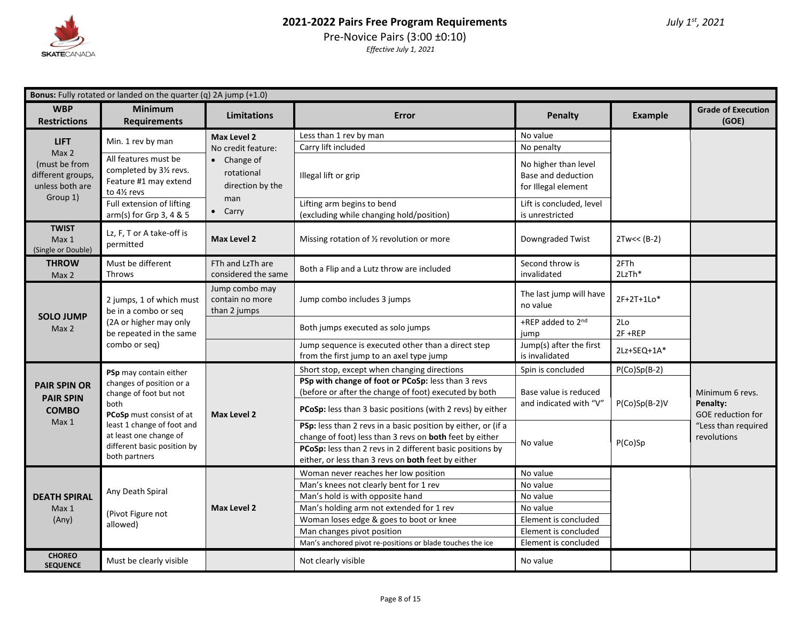

| <b>Bonus:</b> Fully rotated or landed on the quarter (q) 2A jump (+1.0) |                                                                                                                        |                                                       |                                                                                                                                                                                                                                             |                                                                   |                   |                                                                     |  |
|-------------------------------------------------------------------------|------------------------------------------------------------------------------------------------------------------------|-------------------------------------------------------|---------------------------------------------------------------------------------------------------------------------------------------------------------------------------------------------------------------------------------------------|-------------------------------------------------------------------|-------------------|---------------------------------------------------------------------|--|
| <b>WBP</b><br><b>Restrictions</b>                                       | <b>Minimum</b><br><b>Requirements</b>                                                                                  | <b>Limitations</b>                                    | Error                                                                                                                                                                                                                                       | <b>Penalty</b>                                                    | <b>Example</b>    | <b>Grade of Execution</b><br>(GOE)                                  |  |
| <b>LIFT</b>                                                             | Min. 1 rev by man                                                                                                      | Max Level 2                                           | Less than 1 rev by man                                                                                                                                                                                                                      | No value                                                          |                   |                                                                     |  |
| Max <sub>2</sub>                                                        |                                                                                                                        | No credit feature:                                    | Carry lift included                                                                                                                                                                                                                         | No penalty                                                        |                   |                                                                     |  |
| (must be from<br>different groups,<br>unless both are<br>Group 1)       | All features must be<br>completed by 31/2 revs.<br>Feature #1 may extend<br>to 41/2 revs                               | $\bullet$ Change of<br>rotational<br>direction by the | Illegal lift or grip                                                                                                                                                                                                                        | No higher than level<br>Base and deduction<br>for Illegal element |                   |                                                                     |  |
|                                                                         | Full extension of lifting<br>arm(s) for Grp 3, 4 & 5                                                                   | man<br>$\bullet$ Carry                                | Lifting arm begins to bend<br>(excluding while changing hold/position)                                                                                                                                                                      | Lift is concluded, level<br>is unrestricted                       |                   |                                                                     |  |
| <b>TWIST</b><br>Max 1<br>(Single or Double)                             | Lz, F, T or A take-off is<br>permitted                                                                                 | Max Level 2                                           | Missing rotation of 1/2 revolution or more                                                                                                                                                                                                  | Downgraded Twist                                                  | $2Tw<< (B-2)$     |                                                                     |  |
| <b>THROW</b><br>Max 2                                                   | Must be different<br><b>Throws</b>                                                                                     | FTh and LzTh are<br>considered the same               | Both a Flip and a Lutz throw are included                                                                                                                                                                                                   | Second throw is<br>invalidated                                    | 2FTh<br>2LzTh*    |                                                                     |  |
|                                                                         | 2 jumps, 1 of which must<br>be in a combo or seq<br>(2A or higher may only<br>be repeated in the same<br>combo or seq) | Jump combo may<br>contain no more<br>than 2 jumps     | Jump combo includes 3 jumps                                                                                                                                                                                                                 | The last jump will have<br>no value                               | 2F+2T+1Lo*        |                                                                     |  |
| <b>SOLO JUMP</b><br>Max 2                                               |                                                                                                                        |                                                       | Both jumps executed as solo jumps                                                                                                                                                                                                           | +REP added to 2nd<br>jump                                         | 2Lo<br>$2F + REP$ |                                                                     |  |
|                                                                         |                                                                                                                        |                                                       | Jump sequence is executed other than a direct step<br>from the first jump to an axel type jump                                                                                                                                              | Jump(s) after the first<br>is invalidated                         | 2Lz+SEQ+1A*       |                                                                     |  |
|                                                                         | PSp may contain either                                                                                                 |                                                       | Short stop, except when changing directions                                                                                                                                                                                                 | Spin is concluded                                                 | $P(Co)Sp(B-2)$    |                                                                     |  |
| <b>PAIR SPIN OR</b><br><b>PAIR SPIN</b>                                 | changes of position or a<br>change of foot but not                                                                     |                                                       | PSp with change of foot or PCoSp: less than 3 revs<br>(before or after the change of foot) executed by both                                                                                                                                 | Base value is reduced                                             |                   | Minimum 6 revs.                                                     |  |
| <b>COMBO</b>                                                            | both<br>PCoSp must consist of at                                                                                       | Max Level 2                                           | PCoSp: less than 3 basic positions (with 2 revs) by either                                                                                                                                                                                  | and indicated with "V"                                            | $P(Co)Sp(B-2)V$   | Penalty:<br>GOE reduction for<br>"Less than required<br>revolutions |  |
| Max <sub>1</sub>                                                        | least 1 change of foot and<br>at least one change of<br>different basic position by<br>both partners                   |                                                       | PSp: less than 2 revs in a basic position by either, or (if a<br>change of foot) less than 3 revs on both feet by either<br>PCoSp: less than 2 revs in 2 different basic positions by<br>either, or less than 3 revs on both feet by either | No value                                                          | P(Co)Sp           |                                                                     |  |
|                                                                         |                                                                                                                        |                                                       | Woman never reaches her low position                                                                                                                                                                                                        | No value                                                          |                   |                                                                     |  |
|                                                                         | Any Death Spiral                                                                                                       |                                                       | Man's knees not clearly bent for 1 rev                                                                                                                                                                                                      | No value                                                          |                   |                                                                     |  |
| <b>DEATH SPIRAL</b>                                                     |                                                                                                                        |                                                       | Man's hold is with opposite hand                                                                                                                                                                                                            | No value                                                          |                   |                                                                     |  |
| Max 1                                                                   | (Pivot Figure not                                                                                                      | <b>Max Level 2</b>                                    | Man's holding arm not extended for 1 rev                                                                                                                                                                                                    | No value                                                          |                   |                                                                     |  |
| (Any)                                                                   | allowed)                                                                                                               |                                                       | Woman loses edge & goes to boot or knee                                                                                                                                                                                                     | Element is concluded                                              |                   |                                                                     |  |
|                                                                         |                                                                                                                        |                                                       | Man changes pivot position                                                                                                                                                                                                                  | Element is concluded                                              |                   |                                                                     |  |
|                                                                         |                                                                                                                        |                                                       | Man's anchored pivot re-positions or blade touches the ice                                                                                                                                                                                  | Element is concluded                                              |                   |                                                                     |  |
| <b>CHOREO</b><br><b>SEQUENCE</b>                                        | Must be clearly visible                                                                                                |                                                       | Not clearly visible                                                                                                                                                                                                                         | No value                                                          |                   |                                                                     |  |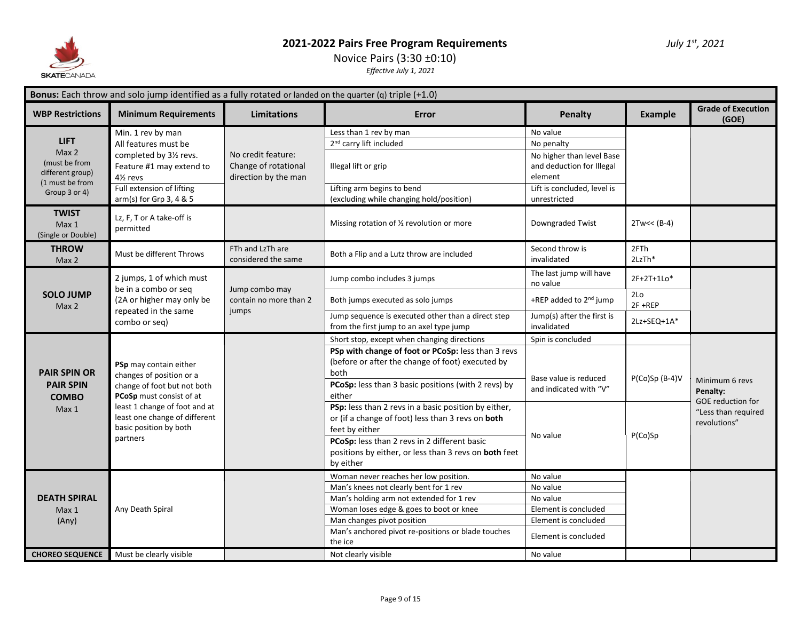

# Novice Pairs (3:30 ±0:10)

| <b>Bonus:</b> Each throw and solo jump identified as a fully rotated or landed on the quarter (q) triple $(+1.0)$ |                                                                                                                                                                                                |                                                                    |                                                                                                                                                                                                                                                                       |                                                                                                                                            |                |                                                          |  |  |
|-------------------------------------------------------------------------------------------------------------------|------------------------------------------------------------------------------------------------------------------------------------------------------------------------------------------------|--------------------------------------------------------------------|-----------------------------------------------------------------------------------------------------------------------------------------------------------------------------------------------------------------------------------------------------------------------|--------------------------------------------------------------------------------------------------------------------------------------------|----------------|----------------------------------------------------------|--|--|
| <b>WBP Restrictions</b>                                                                                           | <b>Minimum Requirements</b>                                                                                                                                                                    | <b>Limitations</b>                                                 | Error                                                                                                                                                                                                                                                                 | Penalty                                                                                                                                    | <b>Example</b> | <b>Grade of Execution</b><br>(GOE)                       |  |  |
| <b>LIFT</b><br>Max 2<br>(must be from<br>different group)<br>(1 must be from<br>Group 3 or 4)                     | Min. 1 rev by man<br>All features must be<br>completed by 31/2 revs.<br>Feature #1 may extend to<br>4 <sup>1</sup> / <sub>2</sub> revs<br>Full extension of lifting<br>arm(s) for Grp 3, 4 & 5 | No credit feature:<br>Change of rotational<br>direction by the man | Less than 1 rev by man<br>2 <sup>nd</sup> carry lift included<br>Illegal lift or grip<br>Lifting arm begins to bend<br>(excluding while changing hold/position)                                                                                                       | No value<br>No penalty<br>No higher than level Base<br>and deduction for Illegal<br>element<br>Lift is concluded, level is<br>unrestricted |                |                                                          |  |  |
| <b>TWIST</b><br>Max 1<br>(Single or Double)                                                                       | Lz, F, T or A take-off is<br>permitted                                                                                                                                                         |                                                                    | Missing rotation of 1/2 revolution or more                                                                                                                                                                                                                            | Downgraded Twist                                                                                                                           | $2Tw<< (B-4)$  |                                                          |  |  |
| <b>THROW</b><br>Max 2                                                                                             | Must be different Throws                                                                                                                                                                       | FTh and LzTh are<br>considered the same                            | Both a Flip and a Lutz throw are included                                                                                                                                                                                                                             | Second throw is<br>invalidated                                                                                                             | 2FTh<br>2LzTh* |                                                          |  |  |
|                                                                                                                   | 2 jumps, 1 of which must<br>be in a combo or seq                                                                                                                                               | Jump combo may                                                     | Jump combo includes 3 jumps                                                                                                                                                                                                                                           | The last jump will have<br>no value                                                                                                        | 2F+2T+1Lo*     |                                                          |  |  |
| <b>SOLO JUMP</b><br>Max 2                                                                                         | (2A or higher may only be<br>repeated in the same<br>combo or seq)                                                                                                                             | contain no more than 2<br>jumps                                    | Both jumps executed as solo jumps                                                                                                                                                                                                                                     | +REP added to 2 <sup>nd</sup> jump                                                                                                         | 2Lo<br>2F+REP  |                                                          |  |  |
|                                                                                                                   |                                                                                                                                                                                                |                                                                    | Jump sequence is executed other than a direct step<br>from the first jump to an axel type jump                                                                                                                                                                        | Jump(s) after the first is<br>invalidated                                                                                                  | 2Lz+SEQ+1A*    |                                                          |  |  |
| <b>PAIR SPIN OR</b><br><b>PAIR SPIN</b><br><b>COMBO</b><br>Max 1                                                  | PSp may contain either<br>changes of position or a<br>change of foot but not both                                                                                                              | PCoSp must consist of at                                           | Short stop, except when changing directions<br>PSp with change of foot or PCoSp: less than 3 revs<br>(before or after the change of foot) executed by<br>both<br>PCoSp: less than 3 basic positions (with 2 revs) by<br>either                                        | Spin is concluded<br>Base value is reduced<br>and indicated with "V"                                                                       | P(Co)Sp (B-4)V | Minimum 6 revs<br>Penalty:                               |  |  |
|                                                                                                                   | least 1 change of foot and at<br>least one change of different<br>basic position by both<br>partners                                                                                           |                                                                    | PSp: less than 2 revs in a basic position by either,<br>or (if a change of foot) less than 3 revs on both<br>feet by either<br>PCoSp: less than 2 revs in 2 different basic<br>positions by either, or less than 3 revs on both feet<br>by either                     | No value                                                                                                                                   | P(Co)Sp        | GOE reduction for<br>"Less than required<br>revolutions" |  |  |
| <b>DEATH SPIRAL</b><br>Max 1<br>(Any)                                                                             | Any Death Spiral                                                                                                                                                                               |                                                                    | Woman never reaches her low position.<br>Man's knees not clearly bent for 1 rev<br>Man's holding arm not extended for 1 rev<br>Woman loses edge & goes to boot or knee<br>Man changes pivot position<br>Man's anchored pivot re-positions or blade touches<br>the ice | No value<br>No value<br>No value<br>Element is concluded<br>Element is concluded<br>Element is concluded                                   |                |                                                          |  |  |
| <b>CHOREO SEQUENCE</b>                                                                                            | Must be clearly visible                                                                                                                                                                        |                                                                    | Not clearly visible                                                                                                                                                                                                                                                   | No value                                                                                                                                   |                |                                                          |  |  |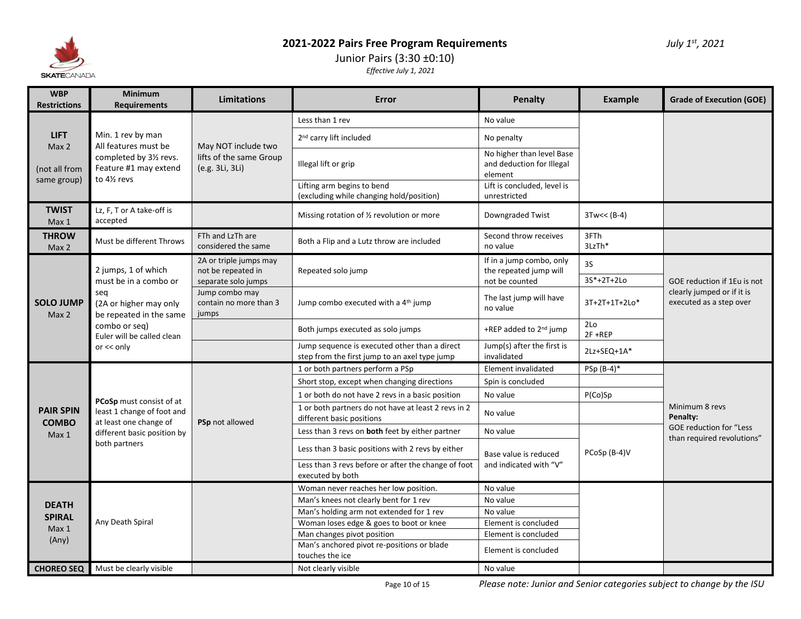

#### Junior Pairs (3:30 ±0:10) *Effective July 1, 2021*

| <b>WBP</b><br><b>Restrictions</b>                          | <b>Minimum</b><br><b>Requirements</b>                                                                                                                                 | <b>Limitations</b>                                                  | Error                                                                                          | Penalty                                                           | <b>Example</b>                | <b>Grade of Execution (GOE)</b>                                                      |
|------------------------------------------------------------|-----------------------------------------------------------------------------------------------------------------------------------------------------------------------|---------------------------------------------------------------------|------------------------------------------------------------------------------------------------|-------------------------------------------------------------------|-------------------------------|--------------------------------------------------------------------------------------|
|                                                            | <b>LIFT</b><br>Min. 1 rev by man<br>All features must be<br>Max 2<br>completed by 31/2 revs.<br>Feature #1 may extend<br>to 41/ <sub>2</sub> revs                     | May NOT include two<br>lifts of the same Group<br>(e.g. 3Li, 3Li)   | Less than 1 rev                                                                                | No value                                                          |                               |                                                                                      |
|                                                            |                                                                                                                                                                       |                                                                     | 2 <sup>nd</sup> carry lift included                                                            | No penalty                                                        |                               |                                                                                      |
| (not all from                                              |                                                                                                                                                                       |                                                                     | Illegal lift or grip                                                                           | No higher than level Base<br>and deduction for Illegal<br>element |                               |                                                                                      |
| same group)                                                |                                                                                                                                                                       |                                                                     | Lifting arm begins to bend<br>(excluding while changing hold/position)                         | Lift is concluded, level is<br>unrestricted                       |                               |                                                                                      |
| <b>TWIST</b><br>Max 1                                      | Lz, F, T or A take-off is<br>accepted                                                                                                                                 |                                                                     | Missing rotation of 1/2 revolution or more                                                     | Downgraded Twist                                                  | $3Tw<< (B-4)$                 |                                                                                      |
| <b>THROW</b><br>Max 2                                      | Must be different Throws                                                                                                                                              | FTh and LzTh are<br>considered the same                             | Both a Flip and a Lutz throw are included                                                      | Second throw receives<br>no value                                 | 3FTh<br>3LzTh*                |                                                                                      |
| <b>SOLO JUMP</b><br>Max 2                                  | 2 jumps, 1 of which<br>must be in a combo or<br>seq<br>(2A or higher may only<br>be repeated in the same<br>combo or seg)<br>Euler will be called clean<br>or << only | 2A or triple jumps may<br>not be repeated in<br>separate solo jumps | If in a jump combo, only<br>the repeated jump will<br>Repeated solo jump<br>not be counted     | <b>3S</b>                                                         |                               |                                                                                      |
|                                                            |                                                                                                                                                                       |                                                                     |                                                                                                |                                                                   | 3S*+2T+2Lo                    | GOE reduction if 1Eu is not<br>clearly jumped or if it is<br>executed as a step over |
|                                                            |                                                                                                                                                                       | Jump combo may<br>contain no more than 3<br>jumps                   | Jump combo executed with a 4 <sup>th</sup> jump                                                | The last jump will have<br>no value                               | 3T+2T+1T+2Lo*                 |                                                                                      |
|                                                            |                                                                                                                                                                       |                                                                     | Both jumps executed as solo jumps                                                              | +REP added to 2 <sup>nd</sup> jump                                | 2 <sub>Lo</sub><br>$2F + REP$ |                                                                                      |
|                                                            |                                                                                                                                                                       |                                                                     | Jump sequence is executed other than a direct<br>step from the first jump to an axel type jump | Jump(s) after the first is<br>invalidated                         | 2Lz+SEQ+1A*                   |                                                                                      |
|                                                            | PCoSp must consist of at<br>least 1 change of foot and<br>at least one change of<br>different basic position by<br>both partners                                      | PSp not allowed                                                     | 1 or both partners perform a PSp                                                               | Element invalidated                                               | $PSp(B-4)^*$                  | Minimum 8 revs<br>Penalty:                                                           |
|                                                            |                                                                                                                                                                       |                                                                     | Short stop, except when changing directions                                                    | Spin is concluded                                                 |                               |                                                                                      |
|                                                            |                                                                                                                                                                       |                                                                     | 1 or both do not have 2 revs in a basic position                                               | No value                                                          | P(Co)Sp                       |                                                                                      |
| <b>PAIR SPIN</b><br><b>COMBO</b><br>Max 1                  |                                                                                                                                                                       |                                                                     | 1 or both partners do not have at least 2 revs in 2<br>different basic positions               | No value                                                          |                               |                                                                                      |
|                                                            |                                                                                                                                                                       |                                                                     | Less than 3 revs on both feet by either partner                                                | No value                                                          |                               | <b>GOE reduction for "Less</b><br>than required revolutions"                         |
|                                                            |                                                                                                                                                                       |                                                                     | Less than 3 basic positions with 2 revs by either                                              | Base value is reduced<br>and indicated with "V"                   | PCoSp (B-4)V                  |                                                                                      |
|                                                            |                                                                                                                                                                       |                                                                     | Less than 3 revs before or after the change of foot<br>executed by both                        |                                                                   |                               |                                                                                      |
| <b>DEATH</b><br><b>SPIRAL</b><br>Max <sub>1</sub><br>(Any) | Any Death Spiral                                                                                                                                                      |                                                                     | Woman never reaches her low position.                                                          | No value                                                          |                               |                                                                                      |
|                                                            |                                                                                                                                                                       |                                                                     | Man's knees not clearly bent for 1 rev                                                         | No value                                                          |                               |                                                                                      |
|                                                            |                                                                                                                                                                       |                                                                     | Man's holding arm not extended for 1 rev                                                       | No value                                                          |                               |                                                                                      |
|                                                            |                                                                                                                                                                       |                                                                     | Woman loses edge & goes to boot or knee                                                        | Element is concluded                                              |                               |                                                                                      |
|                                                            |                                                                                                                                                                       |                                                                     | Man changes pivot position                                                                     | Element is concluded                                              |                               |                                                                                      |
|                                                            |                                                                                                                                                                       |                                                                     | Man's anchored pivot re-positions or blade<br>touches the ice                                  | Element is concluded                                              |                               |                                                                                      |
| <b>CHOREO SEQ  </b>                                        | Must be clearly visible                                                                                                                                               |                                                                     | Not clearly visible                                                                            | No value                                                          |                               |                                                                                      |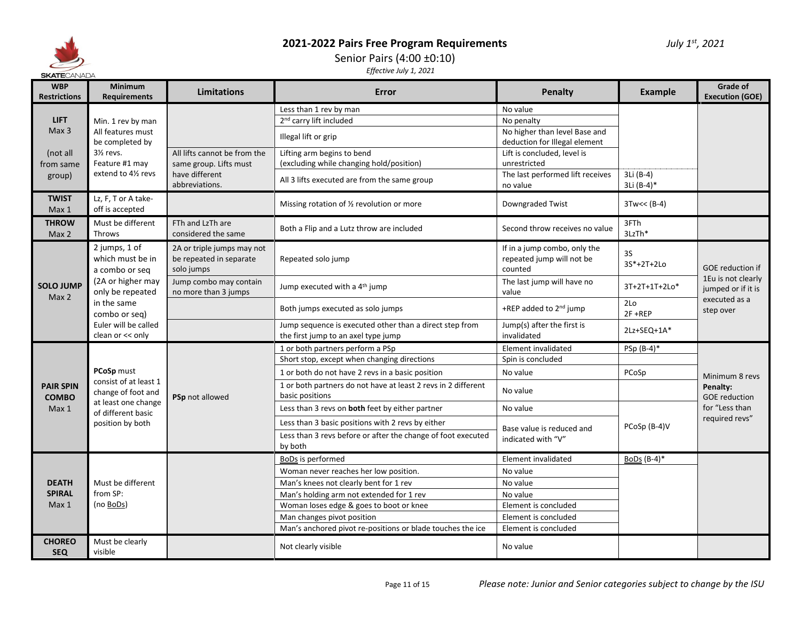

# Senior Pairs (4:00 ±0:10)

| <b>WBP</b><br><b>Restrictions</b>                    | <b>Minimum</b><br><b>Requirements</b>                                                                                                                                    | <b>Limitations</b>                                                                         | Error                                                                                          | <b>Penalty</b>                                                       | Example                       | <b>Grade of</b><br><b>Execution (GOE)</b>                                                         |
|------------------------------------------------------|--------------------------------------------------------------------------------------------------------------------------------------------------------------------------|--------------------------------------------------------------------------------------------|------------------------------------------------------------------------------------------------|----------------------------------------------------------------------|-------------------------------|---------------------------------------------------------------------------------------------------|
| <b>LIFT</b><br>Max <sub>3</sub>                      |                                                                                                                                                                          |                                                                                            | Less than 1 rev by man                                                                         | No value                                                             |                               |                                                                                                   |
|                                                      | Min. 1 rev by man                                                                                                                                                        |                                                                                            | 2 <sup>nd</sup> carry lift included                                                            | No penalty                                                           |                               |                                                                                                   |
|                                                      | All features must<br>be completed by                                                                                                                                     |                                                                                            | Illegal lift or grip                                                                           | No higher than level Base and<br>deduction for Illegal element       |                               |                                                                                                   |
| (not all                                             | $3\frac{1}{2}$ revs.<br>Feature #1 may<br>extend to 41/2 revs                                                                                                            | All lifts cannot be from the<br>same group. Lifts must<br>have different<br>abbreviations. | Lifting arm begins to bend                                                                     | Lift is concluded, level is                                          |                               |                                                                                                   |
| from same                                            |                                                                                                                                                                          |                                                                                            | (excluding while changing hold/position)                                                       | unrestricted                                                         |                               |                                                                                                   |
| group)                                               |                                                                                                                                                                          |                                                                                            | All 3 lifts executed are from the same group                                                   | The last performed lift receives<br>no value                         | 3Li (B-4)<br>3Li (B-4)*       |                                                                                                   |
| <b>TWIST</b><br>Max 1                                | Lz, F, T or A take-<br>off is accepted                                                                                                                                   |                                                                                            | Missing rotation of 1/2 revolution or more                                                     | Downgraded Twist                                                     | $3Tw<< (B-4)$                 |                                                                                                   |
| <b>THROW</b><br>Max 2                                | Must be different<br>Throws                                                                                                                                              | FTh and LzTh are<br>considered the same                                                    | Both a Flip and a Lutz throw are included                                                      | Second throw receives no value                                       | 3FTh<br>3LzTh*                |                                                                                                   |
| <b>SOLO JUMP</b><br>Max 2                            | 2 jumps, 1 of<br>which must be in<br>a combo or seq<br>(2A or higher may<br>only be repeated<br>in the same<br>combo or sea)<br>Euler will be called<br>clean or << only | 2A or triple jumps may not<br>be repeated in separate<br>solo jumps                        | Repeated solo jump                                                                             | If in a jump combo, only the<br>repeated jump will not be<br>counted | 3S<br>3S*+2T+2Lo              | <b>GOE reduction if</b><br>1Eu is not clearly<br>jumped or if it is<br>executed as a<br>step over |
|                                                      |                                                                                                                                                                          | Jump combo may contain<br>no more than 3 jumps                                             | Jump executed with a 4 <sup>th</sup> jump                                                      | The last jump will have no<br>value                                  | 3T+2T+1T+2Lo*                 |                                                                                                   |
|                                                      |                                                                                                                                                                          |                                                                                            | Both jumps executed as solo jumps                                                              | +REP added to 2 <sup>nd</sup> jump                                   | 2 <sub>Lo</sub><br>$2F + REP$ |                                                                                                   |
|                                                      |                                                                                                                                                                          |                                                                                            | Jump sequence is executed other than a direct step from<br>the first jump to an axel type jump | Jump(s) after the first is<br>invalidated                            | 2Lz+SEQ+1A*                   |                                                                                                   |
|                                                      | PCoSp must<br>consist of at least 1<br>change of foot and<br>at least one change<br>of different basic<br>position by both                                               | PSp not allowed                                                                            | 1 or both partners perform a PSp                                                               | Element invalidated                                                  | PSp (B-4)*                    | Minimum 8 revs<br>Penalty:<br><b>GOE</b> reduction                                                |
|                                                      |                                                                                                                                                                          |                                                                                            | Short stop, except when changing directions                                                    | Spin is concluded                                                    |                               |                                                                                                   |
| <b>PAIR SPIN</b><br><b>COMBO</b><br>Max <sub>1</sub> |                                                                                                                                                                          |                                                                                            | 1 or both do not have 2 revs in a basic position                                               | No value                                                             | PCoSp                         |                                                                                                   |
|                                                      |                                                                                                                                                                          |                                                                                            | 1 or both partners do not have at least 2 revs in 2 different<br>basic positions               | No value                                                             |                               |                                                                                                   |
|                                                      |                                                                                                                                                                          |                                                                                            | Less than 3 revs on both feet by either partner                                                | No value                                                             |                               | for "Less than                                                                                    |
|                                                      |                                                                                                                                                                          |                                                                                            | Less than 3 basic positions with 2 revs by either                                              |                                                                      | PCoSp (B-4)V                  | required revs"                                                                                    |
|                                                      |                                                                                                                                                                          |                                                                                            | Less than 3 revs before or after the change of foot executed<br>by both                        | Base value is reduced and<br>indicated with "V"                      |                               |                                                                                                   |
| <b>DEATH</b><br><b>SPIRAL</b><br>Max 1               | Must be different<br>from SP:<br>(no BoDs)                                                                                                                               |                                                                                            | BoDs is performed                                                                              | Element invalidated                                                  | BoDs $(B-4)^*$                |                                                                                                   |
|                                                      |                                                                                                                                                                          |                                                                                            | Woman never reaches her low position.                                                          | No value                                                             |                               |                                                                                                   |
|                                                      |                                                                                                                                                                          |                                                                                            | Man's knees not clearly bent for 1 rev                                                         | No value                                                             |                               |                                                                                                   |
|                                                      |                                                                                                                                                                          |                                                                                            | Man's holding arm not extended for 1 rev                                                       | No value                                                             |                               |                                                                                                   |
|                                                      |                                                                                                                                                                          |                                                                                            | Woman loses edge & goes to boot or knee                                                        | Element is concluded                                                 |                               |                                                                                                   |
|                                                      |                                                                                                                                                                          |                                                                                            | Man changes pivot position                                                                     | Element is concluded                                                 |                               |                                                                                                   |
|                                                      |                                                                                                                                                                          |                                                                                            | Man's anchored pivot re-positions or blade touches the ice                                     | Element is concluded                                                 |                               |                                                                                                   |
| <b>CHOREO</b><br><b>SEQ</b>                          | Must be clearly<br>visible                                                                                                                                               |                                                                                            | Not clearly visible                                                                            | No value                                                             |                               |                                                                                                   |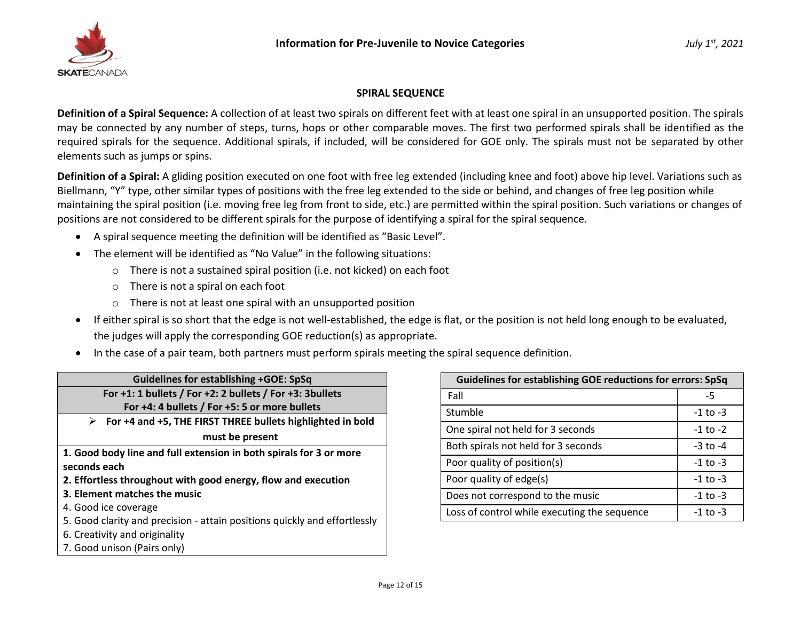

#### **SPIRAL SEQUENCE**

**Definition of a Spiral Sequence:** A collection of at least two spirals on different feet with at least one spiral in an unsupported position. The spirals may be connected by any number of steps, turns, hops or other comparable moves. The first two performed spirals shall be identified as the required spirals for the sequence. Additional spirals, if included, will be considered for GOE only. The spirals must not be separated by other elements such as jumps or spins.

**Definition of a Spiral:** A gliding position executed on one foot with free leg extended (including knee and foot) above hip level. Variations such as Biellmann, "Y" type, other similar types of positions with the free leg extended to the side or behind, and changes of free leg position while maintaining the spiral position (i.e. moving free leg from front to side, etc.) are permitted within the spiral position. Such variations or changes of positions are not considered to be different spirals for the purpose of identifying a spiral for the spiral sequence.

- A spiral sequence meeting the definition will be identified as "Basic Level".
- The element will be identified as "No Value" in the following situations:
	- o There is not a sustained spiral position (i.e. not kicked) on each foot
	- o There is not a spiral on each foot
	- o There is not at least one spiral with an unsupported position
- If either spiral is so short that the edge is not well-established, the edge is flat, or the position is not held long enough to be evaluated, the judges will apply the corresponding GOE reduction(s) as appropriate.
- In the case of a pair team, both partners must perform spirals meeting the spiral sequence definition.

| <b>Guidelines for establishing +GOE: SpSq</b>                             |  |  |  |  |
|---------------------------------------------------------------------------|--|--|--|--|
| For $+1$ : 1 bullets / For $+2$ : 2 bullets / For $+3$ : 3 bullets        |  |  |  |  |
| For +4: 4 bullets / For +5: 5 or more bullets                             |  |  |  |  |
| For +4 and +5, THE FIRST THREE bullets highlighted in bold<br>➤           |  |  |  |  |
| must be present                                                           |  |  |  |  |
| 1. Good body line and full extension in both spirals for 3 or more        |  |  |  |  |
| seconds each                                                              |  |  |  |  |
| 2. Effortless throughout with good energy, flow and execution             |  |  |  |  |
| 3. Element matches the music                                              |  |  |  |  |
| 4. Good ice coverage                                                      |  |  |  |  |
| 5. Good clarity and precision - attain positions quickly and effortlessly |  |  |  |  |
| 6. Creativity and originality                                             |  |  |  |  |
| 7. Good unison (Pairs only)                                               |  |  |  |  |

| <b>Guidelines for establishing GOE reductions for errors: SpSq</b> |              |  |
|--------------------------------------------------------------------|--------------|--|
| Fall                                                               | -5           |  |
| Stumble                                                            | $-1$ to $-3$ |  |
| One spiral not held for 3 seconds                                  | $-1$ to $-2$ |  |
| Both spirals not held for 3 seconds                                | $-3$ to $-4$ |  |
| Poor quality of position(s)                                        | $-1$ to $-3$ |  |
| Poor quality of edge(s)                                            | $-1$ to $-3$ |  |
| Does not correspond to the music                                   | $-1$ to $-3$ |  |
| Loss of control while executing the sequence                       | $-1$ to $-3$ |  |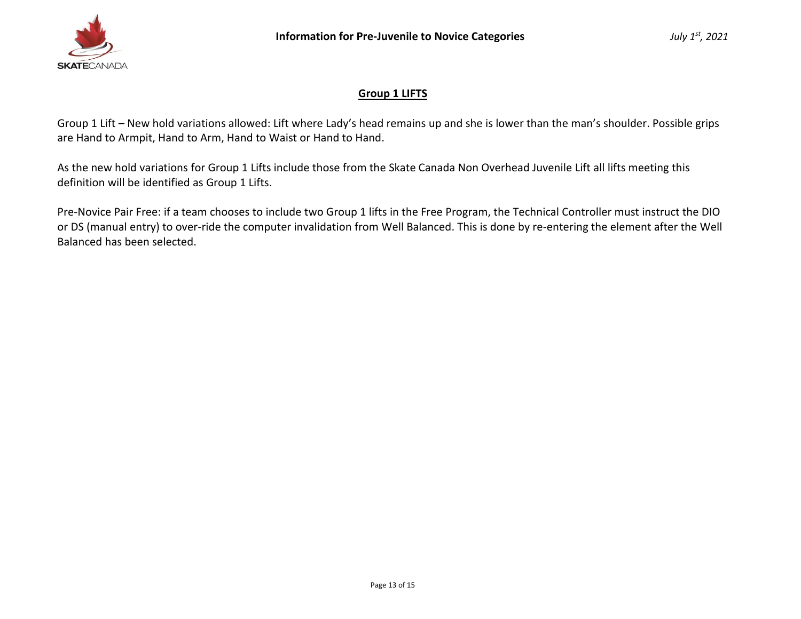

# **Group 1 LIFTS**

Group 1 Lift – New hold variations allowed: Lift where Lady's head remains up and she is lower than the man's shoulder. Possible grips are Hand to Armpit, Hand to Arm, Hand to Waist or Hand to Hand.

As the new hold variations for Group 1 Lifts include those from the Skate Canada Non Overhead Juvenile Lift all lifts meeting this definition will be identified as Group 1 Lifts.

Pre-Novice Pair Free: if a team chooses to include two Group 1 lifts in the Free Program, the Technical Controller must instruct the DIO or DS (manual entry) to over-ride the computer invalidation from Well Balanced. This is done by re-entering the element after the Well Balanced has been selected.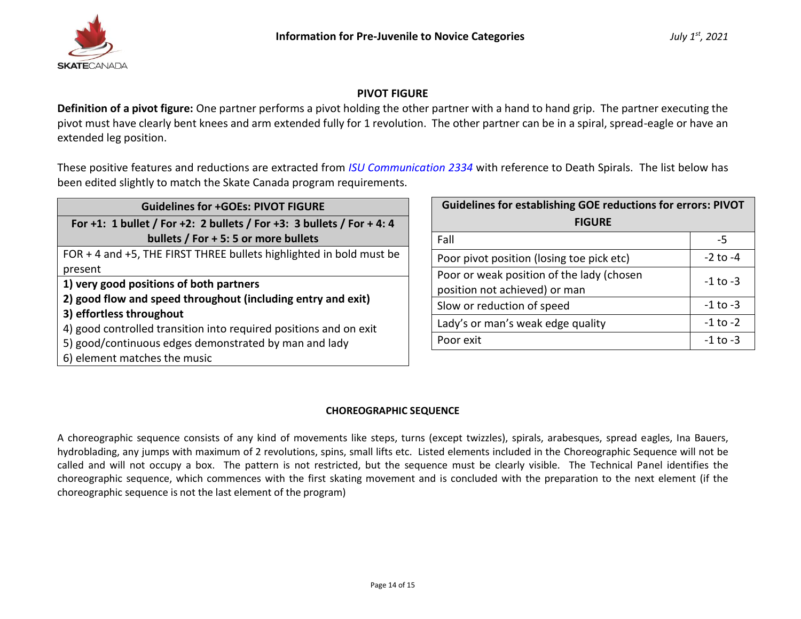

# **PIVOT FIGURE**

**Definition of a pivot figure:** One partner performs a pivot holding the other partner with a hand to hand grip. The partner executing the pivot must have clearly bent knees and arm extended fully for 1 revolution. The other partner can be in a spiral, spread-eagle or have an extended leg position.

These positive features and reductions are extracted from *[ISU Communication 2334](https://www.isu.org/docman-documents-links/isu-files/documents-communications/isu-communications/24665-isu-communication-2334/file)* with reference to Death Spirals. The list below has been edited slightly to match the Skate Canada program requirements.

| <b>Guidelines for +GOEs: PIVOT FIGURE</b>                            |  |  |  |  |
|----------------------------------------------------------------------|--|--|--|--|
| For +1: 1 bullet / For +2: 2 bullets / For +3: 3 bullets / For +4: 4 |  |  |  |  |
| bullets / For + 5: 5 or more bullets                                 |  |  |  |  |
| FOR + 4 and +5, THE FIRST THREE bullets highlighted in bold must be  |  |  |  |  |
| present                                                              |  |  |  |  |
| 1) very good positions of both partners                              |  |  |  |  |
| 2) good flow and speed throughout (including entry and exit)         |  |  |  |  |
| 3) effortless throughout                                             |  |  |  |  |
| 4) good controlled transition into required positions and on exit    |  |  |  |  |
| 5) good/continuous edges demonstrated by man and lady                |  |  |  |  |
| 6) element matches the music                                         |  |  |  |  |

| <b>Guidelines for establishing GOE reductions for errors: PIVOT</b> |              |  |  |
|---------------------------------------------------------------------|--------------|--|--|
| <b>FIGURE</b>                                                       |              |  |  |
| Fall                                                                | -5           |  |  |
| Poor pivot position (losing toe pick etc)                           | $-2$ to $-4$ |  |  |
| Poor or weak position of the lady (chosen                           | $-1$ to $-3$ |  |  |
| position not achieved) or man                                       |              |  |  |
| Slow or reduction of speed                                          | $-1$ to $-3$ |  |  |
| Lady's or man's weak edge quality                                   | $-1$ to $-2$ |  |  |
| Poor exit                                                           | $-1$ to $-3$ |  |  |

### **CHOREOGRAPHIC SEQUENCE**

A choreographic sequence consists of any kind of movements like steps, turns (except twizzles), spirals, arabesques, spread eagles, Ina Bauers, hydroblading, any jumps with maximum of 2 revolutions, spins, small lifts etc. Listed elements included in the Choreographic Sequence will not be called and will not occupy a box. The pattern is not restricted, but the sequence must be clearly visible. The Technical Panel identifies the choreographic sequence, which commences with the first skating movement and is concluded with the preparation to the next element (if the choreographic sequence is not the last element of the program)